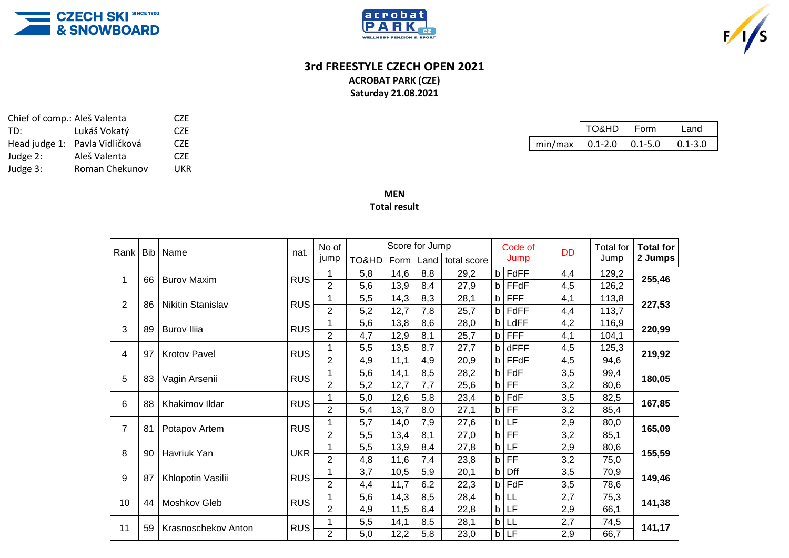





## **3rd FREESTYLE CZECH OPEN 2021 ACROBAT PARK (CZE)**

**Saturday 21.08.2021**

|               | Chief of comp.: Aleš Valenta<br>CZE. |            |  |  |  |  |  |
|---------------|--------------------------------------|------------|--|--|--|--|--|
| TD:           | Lukáš Vokatý                         | <b>CZE</b> |  |  |  |  |  |
| Head judge 1: | Pavla Vidličková                     | CZE.       |  |  |  |  |  |
| Judge 2:      | Aleš Valenta                         | CZE.       |  |  |  |  |  |
| Judge 3:      | Roman Chekunov                       | UKR        |  |  |  |  |  |
|               |                                      |            |  |  |  |  |  |

|                           | <b>TO&amp;HD</b> | Form | I and       |  |  |  |
|---------------------------|------------------|------|-------------|--|--|--|
| $min/max$ 0.1-2.0 0.1-5.0 |                  |      | $0.1 - 3.0$ |  |  |  |

## **MEN Total result**

| Rank           | <b>Bib</b>               | Name                     | nat.       | No of          | Score for Jump |      |      |              | Code of      |            | <b>DD</b> | <b>Total for</b> | <b>Total for</b> |
|----------------|--------------------------|--------------------------|------------|----------------|----------------|------|------|--------------|--------------|------------|-----------|------------------|------------------|
|                |                          |                          |            | jump           | TO&HD          | Form | Land | total score  | Jump         |            |           | Jump             | 2 Jumps          |
| 1              | <b>Burov Maxim</b><br>66 | <b>RUS</b>               | 1          | 5,8            | 14,6           | 8,8  | 29,2 | $\mathsf{b}$ | FdFF         | 4,4        | 129,2     | 255,46           |                  |
|                |                          |                          |            | $\overline{2}$ | 5,6            | 13,9 | 8,4  | 27,9         | b            | FFdF       | 4,5       | 126,2            |                  |
| 2              | 86                       | <b>Nikitin Stanislav</b> | <b>RUS</b> |                | 5,5            | 14,3 | 8,3  | 28,1         | $\mathsf{b}$ | <b>FFF</b> | 4,1       | 113,8            | 227,53           |
|                |                          |                          |            | 2              | 5,2            | 12,7 | 7,8  | 25,7         | b            | FdFF       | 4,4       | 113,7            |                  |
| 3              | 89                       | <b>Burov</b> Iliia       | <b>RUS</b> | 1              | 5,6            | 13,8 | 8,6  | 28,0         | $\mathsf{b}$ | LdFF       | 4,2       | 116,9            | 220,99           |
|                |                          |                          |            | 2              | 4,7            | 12,9 | 8,1  | 25,7         | b            | <b>FFF</b> | 4,1       | 104,1            |                  |
| 4              | 97                       | <b>Krotov Pavel</b>      | <b>RUS</b> |                | 5,5            | 13,5 | 8,7  | 27,7         | b            | dFFF       | 4,5       | 125,3            | 219,92           |
|                |                          |                          |            | $\overline{2}$ | 4,9            | 11,1 | 4,9  | 20,9         | b            | FFdF       | 4,5       | 94,6             |                  |
| 5              | 83                       | Vagin Arsenii            | <b>RUS</b> | 1              | 5,6            | 14,1 | 8,5  | 28,2         | b            | FdF        | 3,5       | 99,4             | 180,05           |
|                |                          |                          |            | $\overline{2}$ | 5,2            | 12,7 | 7,7  | 25,6         | $\mathbf b$  | FF         | 3,2       | 80,6             |                  |
| 6              | 88                       | Khakimov Ildar           | <b>RUS</b> |                | 5,0            | 12,6 | 5,8  | 23,4         | b            | FdF        | 3,5       | 82,5             | 167,85           |
|                |                          |                          |            | $\overline{2}$ | 5,4            | 13,7 | 8,0  | 27,1         | $\mathsf{b}$ | FF         | 3,2       | 85,4             |                  |
| $\overline{7}$ | 81                       | Potapov Artem            | <b>RUS</b> | 1              | 5,7            | 14,0 | 7,9  | 27,6         | $\mathsf{b}$ | LF         | 2,9       | 80,0             | 165,09           |
|                |                          |                          |            | $\overline{2}$ | 5,5            | 13,4 | 8,1  | 27,0         | $\mathsf{b}$ | FF         | 3,2       | 85,1             |                  |
| 8              | 90                       | Havriuk Yan              | <b>UKR</b> | 1              | 5,5            | 13,9 | 8,4  | 27,8         | $\mathsf{b}$ | <b>LF</b>  | 2,9       | 80,6             | 155,59           |
|                |                          |                          |            | $\overline{2}$ | 4,8            | 11,6 | 7,4  | 23,8         | $\mathsf{b}$ | <b>FF</b>  | 3,2       | 75,0             |                  |
| 9<br>87        |                          | Khlopotin Vasilii        | <b>RUS</b> | 1              | 3,7            | 10,5 | 5,9  | 20,1         | $\mathsf{b}$ | Dff        | 3,5       | 70,9             | 149,46           |
|                |                          |                          |            | $\overline{2}$ | 4,4            | 11,7 | 6,2  | 22,3         | $\mathsf{b}$ | FdF        | 3,5       | 78,6             |                  |
| 10             | 44                       | Moshkov Gleb             | <b>RUS</b> |                | 5,6            | 14,3 | 8,5  | 28,4         | $\mathsf{b}$ | LL         | 2,7       | 75,3             | 141,38           |
|                |                          |                          |            | $\overline{2}$ | 4,9            | 11,5 | 6,4  | 22,8         | $\mathsf{b}$ | LF         | 2,9       | 66,1             |                  |
| 11             | 59                       | Krasnoschekov Anton      | <b>RUS</b> |                | 5,5            | 14,1 | 8,5  | 28,1         | $\mathsf{b}$ | LL         | 2,7       | 74,5             | 141,17           |
|                |                          |                          |            | $\overline{2}$ | 5,0            | 12,2 | 5,8  | 23,0         | $\mathsf{b}$ | LF         | 2,9       | 66,7             |                  |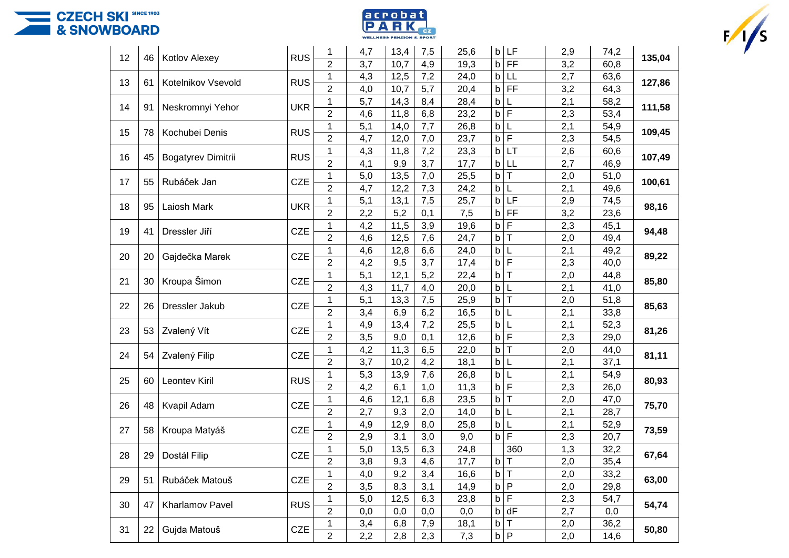CZECH SKI SINCE 1903





|                                | 12<br><b>Kotlov Alexey</b><br>46 |                     | <b>RUS</b>     |                | 4,7  | 13,4 | 7,5         | 25,6           | b            | <b>LF</b>    | 2,9    | 74,2   | 135,04 |
|--------------------------------|----------------------------------|---------------------|----------------|----------------|------|------|-------------|----------------|--------------|--------------|--------|--------|--------|
|                                |                                  |                     | $\overline{2}$ | 3,7            | 10,7 | 4,9  | 19,3        | b              | FF           | 3,2          | 60,8   |        |        |
| 13<br>61<br>Kotelnikov Vsevold | <b>RUS</b>                       | 1                   | 4,3            | 12,5           | 7,2  | 24,0 | $\mathsf b$ | LL             | 2,7          | 63,6         |        |        |        |
|                                |                                  |                     | $\overline{2}$ | 4,0            | 10,7 | 5,7  | 20,4        | b              | FF           | 3,2          | 64,3   | 127,86 |        |
|                                |                                  | <b>UKR</b>          |                | 5,7            | 14,3 | 8,4  | 28,4        | b              | L            | 2,1          | 58,2   |        |        |
| 14<br>Neskromnyi Yehor<br>91   |                                  | $\overline{2}$      | 4,6            | 11,8           | 6,8  | 23,2 | b           | $\overline{F}$ | 2,3          | 53,4         | 111,58 |        |        |
| 15                             |                                  | <b>RUS</b>          |                | 5,1            | 14,0 | 7,7  | 26,8        | b              | $\mathsf{L}$ | 2,1          | 54,9   |        |        |
|                                | 78                               | Kochubei Denis      |                | $\overline{2}$ | 4,7  | 12,0 | 7,0         | 23,7           | $\mathsf b$  | $\mathsf F$  | 2,3    | 54,5   | 109,45 |
| 16                             | 45                               |                     | <b>RUS</b>     | 1              | 4,3  | 11,8 | 7,2         | 23,3           | $\mathsf b$  | LT           | 2,6    | 60,6   |        |
|                                |                                  | Bogatyrev Dimitrii  |                | $\overline{2}$ | 4,1  | 9,9  | 3,7         | 17,7           | b            | LL           | 2,7    | 46,9   | 107,49 |
|                                |                                  |                     | <b>CZE</b>     |                | 5,0  | 13,5 | 7,0         | 25,5           | b            | $\top$       | 2,0    | 51,0   | 100,61 |
| 17                             | 55                               | Rubáček Jan         |                | $\overline{2}$ | 4,7  | 12,2 | 7,3         | 24,2           | $\mathsf b$  | $\mathsf{L}$ | 2,1    | 49,6   |        |
|                                |                                  |                     | <b>UKR</b>     | 1              | 5,1  | 13,1 | 7,5         | 25,7           | b            | LF           | 2,9    | 74,5   | 98,16  |
| 18                             | 95                               | Laiosh Mark         |                | $\overline{2}$ | 2,2  | 5,2  | 0,1         | 7,5            | b            | FF           | 3,2    | 23,6   |        |
|                                |                                  |                     |                | 1              | 4,2  | 11,5 | 3,9         | 19,6           | b            | F            | 2,3    | 45,1   | 94,48  |
| 19                             | 41                               | Dressler Jiří       | <b>CZE</b>     | $\overline{2}$ | 4,6  | 12,5 | 7,6         | 24,7           | b            | $\top$       | 2,0    | 49,4   |        |
|                                |                                  |                     |                | 1              | 4,6  | 12,8 | 6,6         | 24,0           | b            | L            | 2,1    | 49,2   |        |
| 20                             | 20                               | Gajdečka Marek      | <b>CZE</b>     | $\overline{2}$ | 4,2  | 9,5  | 3,7         | 17,4           | b            | $\mathsf{F}$ | 2,3    | 40,0   | 89,22  |
|                                |                                  | Kroupa Šimon        |                | 1              | 5,1  | 12,1 | 5,2         | 22,4           | $\mathsf b$  | $\top$       | 2,0    | 44,8   | 85,80  |
|                                | 21<br>30                         |                     | <b>CZE</b>     | $\overline{2}$ | 4,3  | 11,7 | 4,0         | 20,0           | b            | L            | 2,1    | 41,0   |        |
|                                |                                  |                     |                |                | 5,1  | 13,3 | 7,5         | 25,9           | b            | $\top$       | 2,0    | 51,8   | 85,63  |
|                                | 22<br>26<br>Dressler Jakub       |                     | <b>CZE</b>     | $\overline{2}$ | 3,4  | 6,9  | 6,2         | 16,5           | $\mathsf b$  | L            | 2,1    | 33,8   |        |
|                                |                                  |                     |                | 1              | 4,9  | 13,4 | 7,2         | 25,5           | b            | L            | 2,1    | 52,3   | 81,26  |
| 23                             | 53                               | Zvalený Vít         | <b>CZE</b>     | $\overline{2}$ | 3,5  | 9,0  | 0,1         | 12,6           | $\mathsf b$  | $\mathsf F$  | 2,3    | 29,0   |        |
|                                |                                  |                     |                | 1              | 4,2  | 11,3 | 6,5         | 22,0           | b            | $\top$       | 2,0    | 44,0   | 81,11  |
| 24                             | 54                               | Zvalený Filip       | <b>CZE</b>     | $\overline{2}$ | 3,7  | 10,2 | 4,2         | 18,1           | b            | L            | 2,1    | 37,1   |        |
|                                |                                  | Leontev Kiril<br>60 |                | 1              | 5,3  | 13,9 | 7,6         | 26,8           | b            | L            | 2,1    | 54,9   |        |
|                                | 25                               |                     | <b>RUS</b>     | $\overline{2}$ | 4,2  | 6,1  | 1,0         | 11,3           | $\mathsf b$  | F            | 2,3    | 26,0   | 80,93  |
| 26<br>48                       |                                  | Kvapil Adam         |                | 1              | 4,6  | 12,1 | 6,8         | 23,5           | b            | $\top$       | 2,0    | 47,0   | 75,70  |
|                                |                                  |                     | <b>CZE</b>     | $\overline{2}$ | 2,7  | 9,3  | 2,0         | 14,0           | b            | $\mathsf{L}$ | 2,1    | 28,7   |        |
| 27<br>58                       |                                  | Kroupa Matyáš       |                |                | 4,9  | 12,9 | 8,0         | 25,8           | b            | L            | 2,1    | 52,9   | 73,59  |
|                                |                                  |                     | CZE            | $\overline{2}$ | 2,9  | 3,1  | 3,0         | 9,0            | $\mathsf{b}$ | $\mathsf{L}$ | 2,3    | 20,7   |        |
|                                |                                  | Dostál Filip        |                |                | 5,0  | 13,5 | 6,3         | 24,8           |              | 360          | 1,3    | 32,2   | 67,64  |
| 28<br>29                       |                                  |                     | <b>CZE</b>     | $\overline{2}$ | 3,8  | 9,3  | 4,6         | 17,7           |              | $b$ T        | 2,0    | 35,4   |        |
| 29<br>51                       |                                  | Rubáček Matouš      |                | 1              | 4,0  | 9,2  | 3,4         | 16,6           | b            | l T          | 2,0    | 33,2   | 63,00  |
|                                |                                  |                     | <b>CZE</b>     | $\overline{2}$ | 3,5  | 8,3  | 3,1         | 14,9           | $\mathsf b$  | $\mathsf{P}$ | 2,0    | 29,8   |        |
|                                |                                  | Kharlamov Pavel     |                | $\mathbf{1}$   | 5,0  | 12,5 | 6,3         | 23,8           | $\mathbf b$  | F            | 2,3    | 54,7   | 54,74  |
| 30<br>47                       |                                  |                     | <b>RUS</b>     | $\overline{2}$ | 0,0  | 0,0  | 0,0         | 0,0            | b            | dF           | 2,7    | 0,0    |        |
|                                |                                  |                     | 1              | 3,4            | 6,8  | 7,9  | 18,1        | $\mathsf{b}$   | $ \top$      | 2,0          | 36,2   |        |        |
|                                | 31<br>Gujda Matouš<br>CZE<br>22  | $\overline{2}$      | 2,2            | 2,8            | 2,3  | 7,3  |             | $b \mid P$     | 2,0          | 14,6         | 50,80  |        |        |